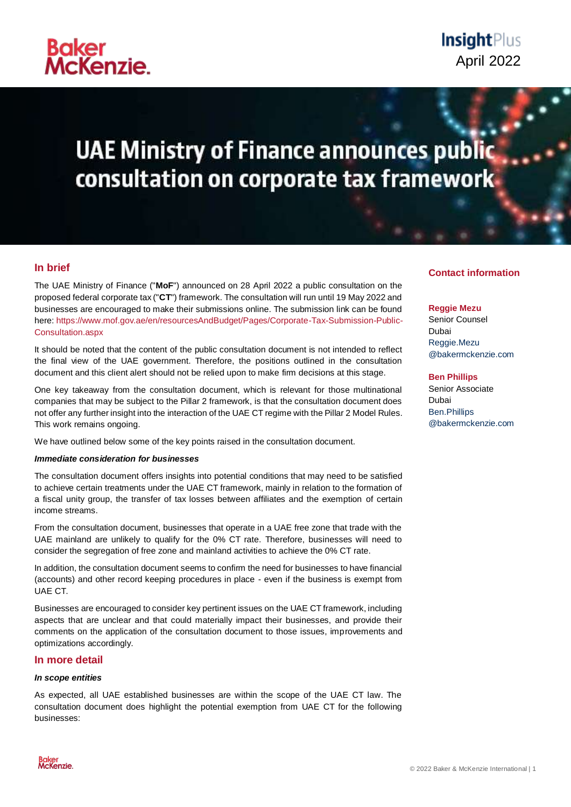# **Baker<br>McKenzie.**

### **Insight**Plus April 2022

## **UAE Ministry of Finance announces public** consultation on corporate tax framework

#### **In brief**

The UAE Ministry of Finance ("**MoF**") announced on 28 April 2022 a public consultation on the proposed federal corporate tax ("**CT**") framework. The consultation will run until 19 May 2022 and businesses are encouraged to make their submissions online. The submission link can be found here[: https://www.mof.gov.ae/en/resourcesAndBudget/Pages/Corporate-Tax-Submission-Public-](https://www.mof.gov.ae/en/resourcesAndBudget/Pages/Corporate-Tax-Submission-Public-Consultation.aspx)[Consultation.aspx](https://www.mof.gov.ae/en/resourcesAndBudget/Pages/Corporate-Tax-Submission-Public-Consultation.aspx)

It should be noted that the content of the public consultation document is not intended to reflect the final view of the UAE government. Therefore, the positions outlined in the consultation document and this client alert should not be relied upon to make firm decisions at this stage.

One key takeaway from the consultation document, which is relevant for those multinational companies that may be subject to the Pillar 2 framework, is that the consultation document does not offer any further insight into the interaction of the UAE CT regime with the Pillar 2 Model Rules. This work remains ongoing.

We have outlined below some of the key points raised in the consultation document.

#### *Immediate consideration for businesses*

The consultation document offers insights into potential conditions that may need to be satisfied to achieve certain treatments under the UAE CT framework, mainly in relation to the formation of a fiscal unity group, the transfer of tax losses between affiliates and the exemption of certain income streams.

From the consultation document, businesses that operate in a UAE free zone that trade with the UAE mainland are unlikely to qualify for the 0% CT rate. Therefore, businesses will need to consider the segregation of free zone and mainland activities to achieve the 0% CT rate.

In addition, the consultation document seems to confirm the need for businesses to have financial (accounts) and other record keeping procedures in place - even if the business is exempt from UAE CT.

Businesses are encouraged to consider key pertinent issues on the UAE CT framework, including aspects that are unclear and that could materially impact their businesses, and provide their comments on the application of the consultation document to those issues, improvements and optimizations accordingly.

#### **In more detail**

#### *In scope entities*

As expected, all UAE established businesses are within the scope of the UAE CT law. The consultation document does highlight the potential exemption from UAE CT for the following businesses:

#### **Contact information**

#### **Reggie Mezu**

Senior Counsel Dubai Reggie.Mezu @bakermckenzie.com

#### **Ben Phillips**

Senior Associate Dubai [Ben.Phillips](mailto:Ben.Phillips@bakermckenzie.com) [@bakermckenzie.com](mailto:Ben.Phillips@bakermckenzie.com)

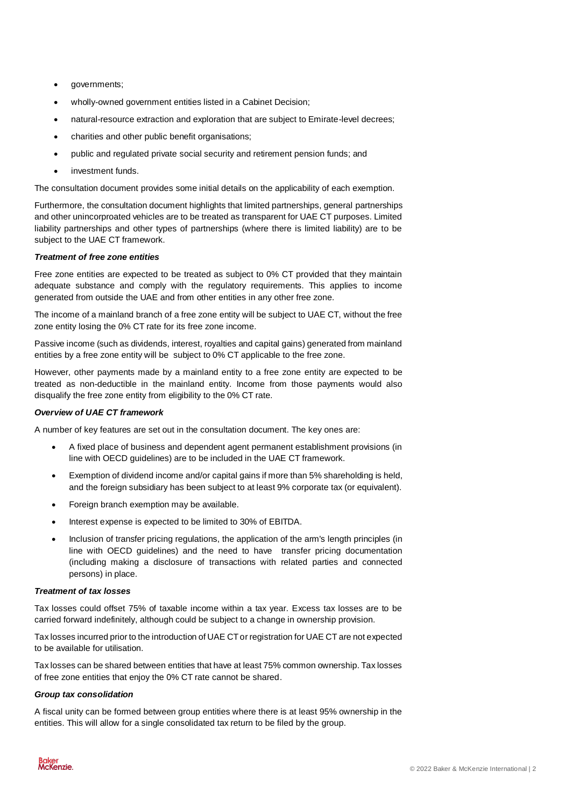- governments;
- wholly-owned government entities listed in a Cabinet Decision;
- natural-resource extraction and exploration that are subject to Emirate-level decrees;
- charities and other public benefit organisations;
- public and regulated private social security and retirement pension funds; and
- investment funds.

The consultation document provides some initial details on the applicability of each exemption.

Furthermore, the consultation document highlights that limited partnerships, general partnerships and other unincorproated vehicles are to be treated as transparent for UAE CT purposes. Limited liability partnerships and other types of partnerships (where there is limited liability) are to be subject to the UAE CT framework.

#### *Treatment of free zone entities*

Free zone entities are expected to be treated as subject to 0% CT provided that they maintain adequate substance and comply with the regulatory requirements. This applies to income generated from outside the UAE and from other entities in any other free zone.

The income of a mainland branch of a free zone entity will be subject to UAE CT, without the free zone entity losing the 0% CT rate for its free zone income.

Passive income (such as dividends, interest, royalties and capital gains) generated from mainland entities by a free zone entity will be subject to 0% CT applicable to the free zone.

However, other payments made by a mainland entity to a free zone entity are expected to be treated as non-deductible in the mainland entity. Income from those payments would also disqualify the free zone entity from eligibility to the 0% CT rate.

#### *Overview of UAE CT framework*

A number of key features are set out in the consultation document. The key ones are:

- A fixed place of business and dependent agent permanent establishment provisions (in line with OECD guidelines) are to be included in the UAE CT framework.
- Exemption of dividend income and/or capital gains if more than 5% shareholding is held, and the foreign subsidiary has been subject to at least 9% corporate tax (or equivalent).
- Foreign branch exemption may be available.
- Interest expense is expected to be limited to 30% of EBITDA.
- Inclusion of transfer pricing regulations, the application of the arm's length principles (in line with OECD guidelines) and the need to have transfer pricing documentation (including making a disclosure of transactions with related parties and connected persons) in place.

#### *Treatment of tax losses*

Tax losses could offset 75% of taxable income within a tax year. Excess tax losses are to be carried forward indefinitely, although could be subject to a change in ownership provision.

Tax losses incurred prior to the introduction of UAE CT or registration for UAE CT are not expected to be available for utilisation.

Tax losses can be shared between entities that have at least 75% common ownership. Tax losses of free zone entities that enjoy the 0% CT rate cannot be shared.

#### *Group tax consolidation*

A fiscal unity can be formed between group entities where there is at least 95% ownership in the entities. This will allow for a single consolidated tax return to be filed by the group.